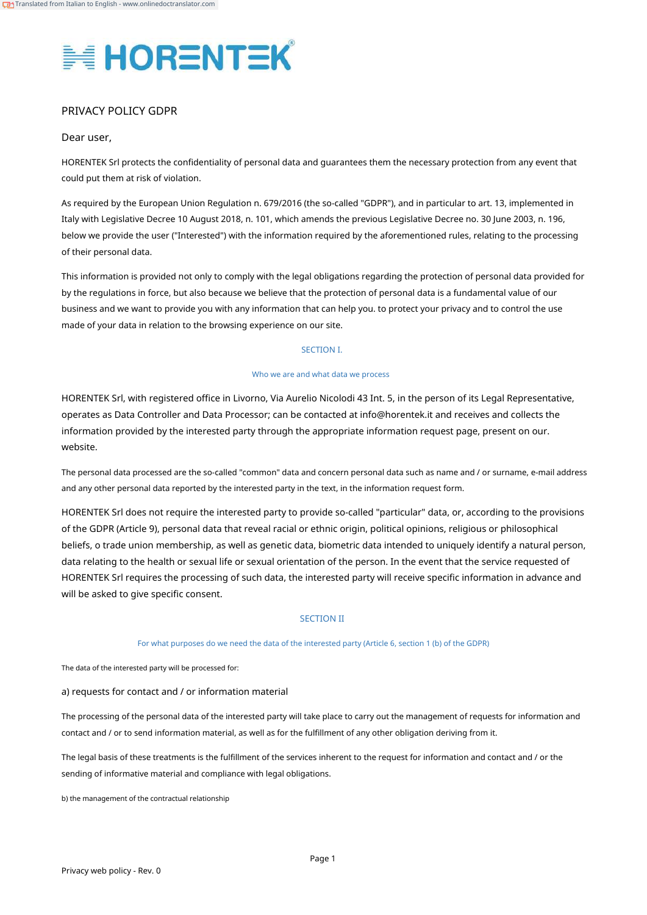

## PRIVACY POLICY GDPR

## Dear user,

HORENTEK Srl protects the confidentiality of personal data and guarantees them the necessary protection from any event that could put them at risk of violation.

As required by the European Union Regulation n. 679/2016 (the so-called "GDPR"), and in particular to art. 13, implemented in Italy with Legislative Decree 10 August 2018, n. 101, which amends the previous Legislative Decree no. 30 June 2003, n. 196, below we provide the user ("Interested") with the information required by the aforementioned rules, relating to the processing of their personal data.

This information is provided not only to comply with the legal obligations regarding the protection of personal data provided for by the regulations in force, but also because we believe that the protection of personal data is a fundamental value of our business and we want to provide you with any information that can help you. to protect your privacy and to control the use made of your data in relation to the browsing experience on our site.

### SECTION I.

#### Who we are and what data we process

HORENTEK Srl, with registered office in Livorno, Via Aurelio Nicolodi 43 Int. 5, in the person of its Legal Representative, operates as Data Controller and Data Processor; can be contacted at info@horentek.it and receives and collects the information provided by the interested party through the appropriate information request page, present on our. website.

The personal data processed are the so-called "common" data and concern personal data such as name and / or surname, e-mail address and any other personal data reported by the interested party in the text, in the information request form.

HORENTEK Srl does not require the interested party to provide so-called "particular" data, or, according to the provisions of the GDPR (Article 9), personal data that reveal racial or ethnic origin, political opinions, religious or philosophical beliefs, o trade union membership, as well as genetic data, biometric data intended to uniquely identify a natural person, data relating to the health or sexual life or sexual orientation of the person. In the event that the service requested of HORENTEK Srl requires the processing of such data, the interested party will receive specific information in advance and will be asked to give specific consent.

## SECTION II

### For what purposes do we need the data of the interested party (Article 6, section 1 (b) of the GDPR)

The data of the interested party will be processed for:

a) requests for contact and / or information material

The processing of the personal data of the interested party will take place to carry out the management of requests for information and contact and / or to send information material, as well as for the fulfillment of any other obligation deriving from it.

The legal basis of these treatments is the fulfillment of the services inherent to the request for information and contact and / or the sending of informative material and compliance with legal obligations.

b) the management of the contractual relationship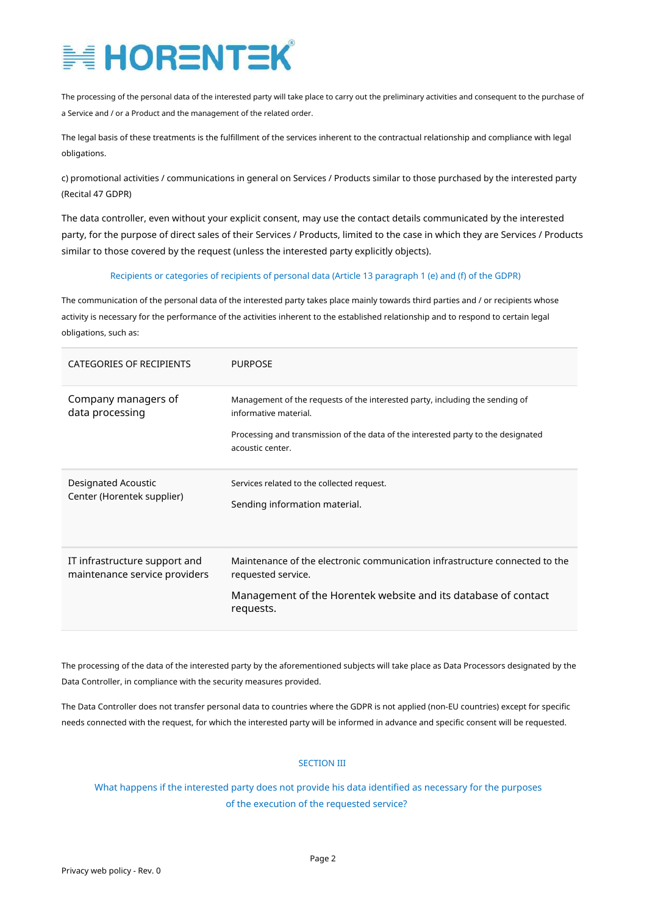The processing of the personal data of the interested party will take place to carry out the preliminary activities and consequent to the purchase of a Service and / or a Product and the management of the related order.

The legal basis of these treatments is the fulfillment of the services inherent to the contractual relationship and compliance with legal obligations.

c) promotional activities / communications in general on Services / Products similar to those purchased by the interested party (Recital 47 GDPR)

The data controller, even without your explicit consent, may use the contact details communicated by the interested party, for the purpose of direct sales of their Services / Products, limited to the case in which they are Services / Products similar to those covered by the request (unless the interested party explicitly objects).

### Recipients or categories of recipients of personal data (Article 13 paragraph 1 (e) and (f) of the GDPR)

The communication of the personal data of the interested party takes place mainly towards third parties and / or recipients whose activity is necessary for the performance of the activities inherent to the established relationship and to respond to certain legal obligations, such as:

| CATEGORIES OF RECIPIENTS                                       | <b>PURPOSE</b>                                                                                                                                                                                                 |
|----------------------------------------------------------------|----------------------------------------------------------------------------------------------------------------------------------------------------------------------------------------------------------------|
| Company managers of<br>data processing                         | Management of the requests of the interested party, including the sending of<br>informative material.<br>Processing and transmission of the data of the interested party to the designated<br>acoustic center. |
| Designated Acoustic<br>Center (Horentek supplier)              | Services related to the collected request.<br>Sending information material.                                                                                                                                    |
| IT infrastructure support and<br>maintenance service providers | Maintenance of the electronic communication infrastructure connected to the<br>requested service.<br>Management of the Horentek website and its database of contact<br>requests.                               |

The processing of the data of the interested party by the aforementioned subjects will take place as Data Processors designated by the Data Controller, in compliance with the security measures provided.

The Data Controller does not transfer personal data to countries where the GDPR is not applied (non-EU countries) except for specific needs connected with the request, for which the interested party will be informed in advance and specific consent will be requested.

## SECTION III

What happens if the interested party does not provide his data identified as necessary for the purposes of the execution of the requested service?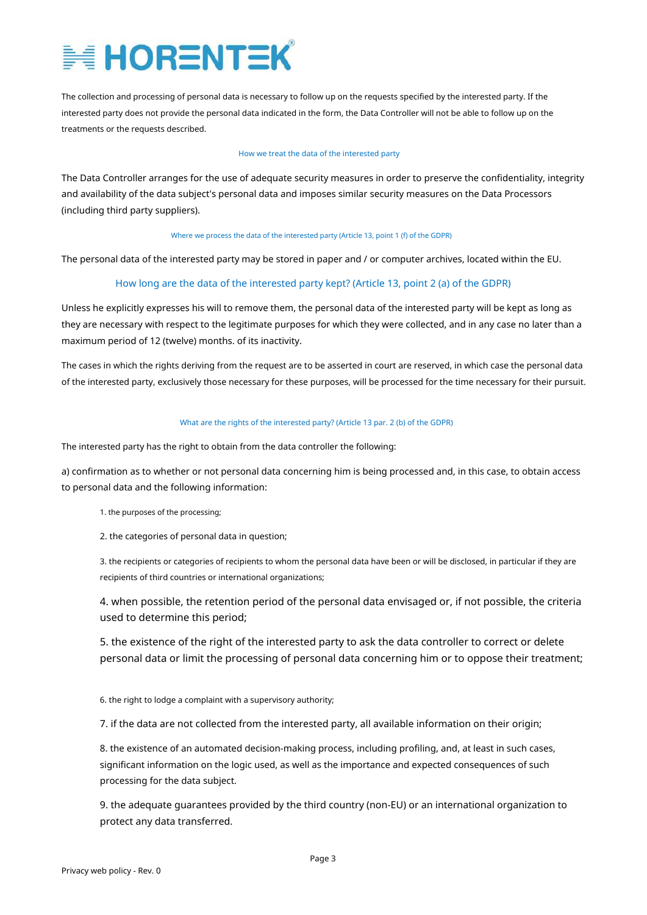The collection and processing of personal data is necessary to follow up on the requests specified by the interested party. If the interested party does not provide the personal data indicated in the form, the Data Controller will not be able to follow up on the treatments or the requests described.

#### How we treat the data of the interested party

The Data Controller arranges for the use of adequate security measures in order to preserve the confidentiality, integrity and availability of the data subject's personal data and imposes similar security measures on the Data Processors (including third party suppliers).

#### Where we process the data of the interested party (Article 13, point 1 (f) of the GDPR)

The personal data of the interested party may be stored in paper and / or computer archives, located within the EU.

## How long are the data of the interested party kept? (Article 13, point 2 (a) of the GDPR)

Unless he explicitly expresses his will to remove them, the personal data of the interested party will be kept as long as they are necessary with respect to the legitimate purposes for which they were collected, and in any case no later than a maximum period of 12 (twelve) months. of its inactivity.

The cases in which the rights deriving from the request are to be asserted in court are reserved, in which case the personal data of the interested party, exclusively those necessary for these purposes, will be processed for the time necessary for their pursuit.

### What are the rights of the interested party? (Article 13 par. 2 (b) of the GDPR)

The interested party has the right to obtain from the data controller the following:

a) confirmation as to whether or not personal data concerning him is being processed and, in this case, to obtain access to personal data and the following information:

- 1. the purposes of the processing;
- 2. the categories of personal data in question;

3. the recipients or categories of recipients to whom the personal data have been or will be disclosed, in particular if they are recipients of third countries or international organizations;

4. when possible, the retention period of the personal data envisaged or, if not possible, the criteria used to determine this period;

5. the existence of the right of the interested party to ask the data controller to correct or delete personal data or limit the processing of personal data concerning him or to oppose their treatment;

6. the right to lodge a complaint with a supervisory authority;

7. if the data are not collected from the interested party, all available information on their origin;

8. the existence of an automated decision-making process, including profiling, and, at least in such cases, significant information on the logic used, as well as the importance and expected consequences of such processing for the data subject.

9. the adequate guarantees provided by the third country (non-EU) or an international organization to protect any data transferred.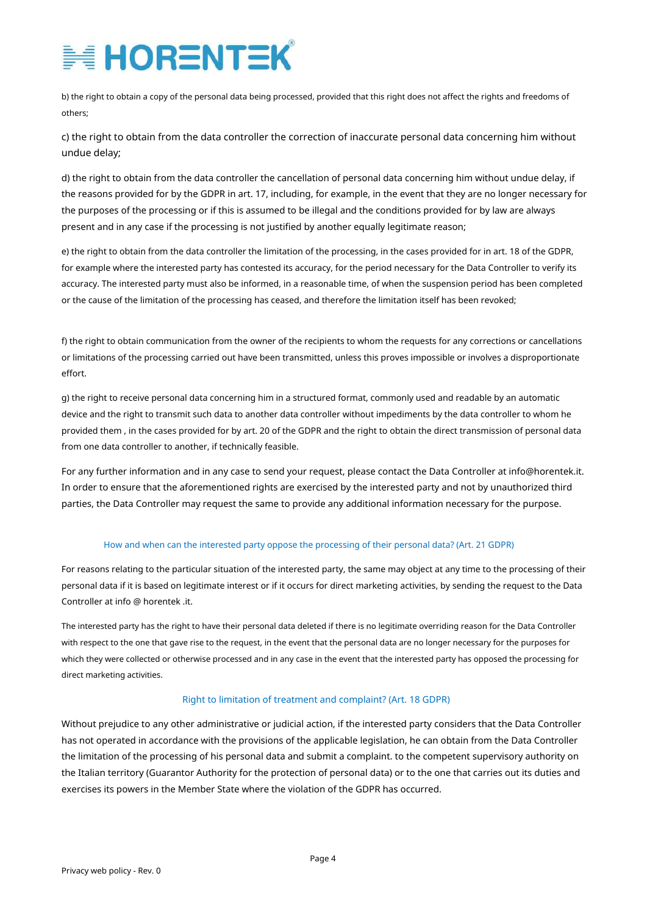b) the right to obtain a copy of the personal data being processed, provided that this right does not affect the rights and freedoms of others;

c) the right to obtain from the data controller the correction of inaccurate personal data concerning him without undue delay;

d) the right to obtain from the data controller the cancellation of personal data concerning him without undue delay, if the reasons provided for by the GDPR in art. 17, including, for example, in the event that they are no longer necessary for the purposes of the processing or if this is assumed to be illegal and the conditions provided for by law are always present and in any case if the processing is not justified by another equally legitimate reason;

e) the right to obtain from the data controller the limitation of the processing, in the cases provided for in art. 18 of the GDPR, for example where the interested party has contested its accuracy, for the period necessary for the Data Controller to verify its accuracy. The interested party must also be informed, in a reasonable time, of when the suspension period has been completed or the cause of the limitation of the processing has ceased, and therefore the limitation itself has been revoked;

f) the right to obtain communication from the owner of the recipients to whom the requests for any corrections or cancellations or limitations of the processing carried out have been transmitted, unless this proves impossible or involves a disproportionate effort.

g) the right to receive personal data concerning him in a structured format, commonly used and readable by an automatic device and the right to transmit such data to another data controller without impediments by the data controller to whom he provided them , in the cases provided for by art. 20 of the GDPR and the right to obtain the direct transmission of personal data from one data controller to another, if technically feasible.

For any further information and in any case to send your request, please contact the Data Controller at info@horentek.it. In order to ensure that the aforementioned rights are exercised by the interested party and not by unauthorized third parties, the Data Controller may request the same to provide any additional information necessary for the purpose.

## How and when can the interested party oppose the processing of their personal data? (Art. 21 GDPR)

For reasons relating to the particular situation of the interested party, the same may object at any time to the processing of their personal data if it is based on legitimate interest or if it occurs for direct marketing activities, by sending the request to the Data Controller at info @ horentek .it.

The interested party has the right to have their personal data deleted if there is no legitimate overriding reason for the Data Controller with respect to the one that gave rise to the request, in the event that the personal data are no longer necessary for the purposes for which they were collected or otherwise processed and in any case in the event that the interested party has opposed the processing for direct marketing activities.

## Right to limitation of treatment and complaint? (Art. 18 GDPR)

Without prejudice to any other administrative or judicial action, if the interested party considers that the Data Controller has not operated in accordance with the provisions of the applicable legislation, he can obtain from the Data Controller the limitation of the processing of his personal data and submit a complaint. to the competent supervisory authority on the Italian territory (Guarantor Authority for the protection of personal data) or to the one that carries out its duties and exercises its powers in the Member State where the violation of the GDPR has occurred.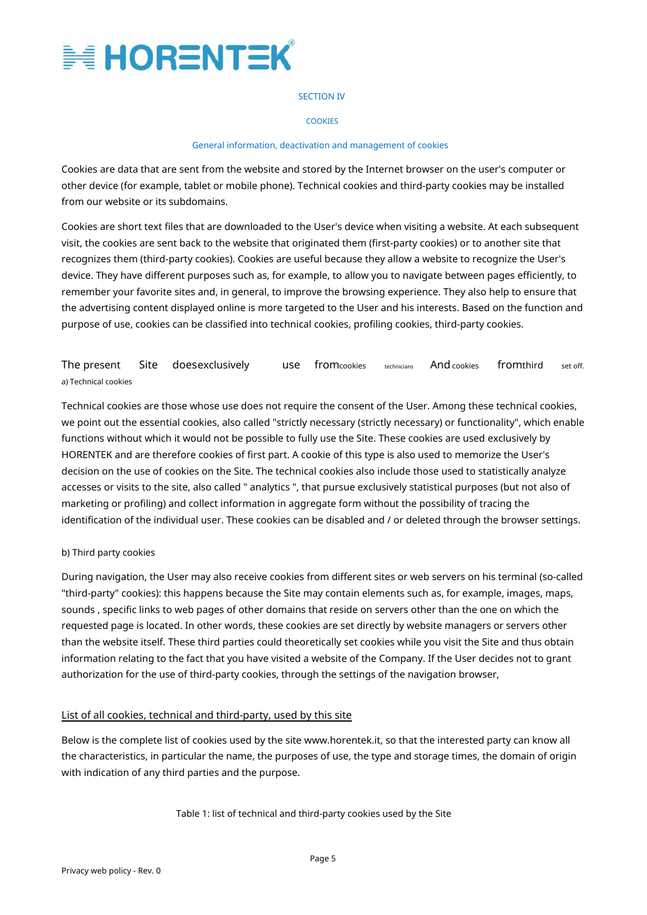

### SECTION IV

### **COOKIES**

### General information, deactivation and management of cookies

Cookies are data that are sent from the website and stored by the Internet browser on the user's computer or other device (for example, tablet or mobile phone). Technical cookies and third-party cookies may be installed from our website or its subdomains.

Cookies are short text files that are downloaded to the User's device when visiting a website. At each subsequent visit, the cookies are sent back to the website that originated them (first-party cookies) or to another site that recognizes them (third-party cookies). Cookies are useful because they allow a website to recognize the User's device. They have different purposes such as, for example, to allow you to navigate between pages efficiently, to remember your favorite sites and, in general, to improve the browsing experience. They also help to ensure that the advertising content displayed online is more targeted to the User and his interests. Based on the function and purpose of use, cookies can be classified into technical cookies, profiling cookies, third-party cookies.

#### The present a) Technical cookies Site doesexclusively use fromcookies technicians Andcookies fromthird set off.

Technical cookies are those whose use does not require the consent of the User. Among these technical cookies, we point out the essential cookies, also called "strictly necessary (strictly necessary) or functionality", which enable functions without which it would not be possible to fully use the Site. These cookies are used exclusively by HORENTEK and are therefore cookies of first part. A cookie of this type is also used to memorize the User's decision on the use of cookies on the Site. The technical cookies also include those used to statistically analyze accesses or visits to the site, also called " analytics ", that pursue exclusively statistical purposes (but not also of marketing or profiling) and collect information in aggregate form without the possibility of tracing the identification of the individual user. These cookies can be disabled and / or deleted through the browser settings.

## b) Third party cookies

During navigation, the User may also receive cookies from different sites or web servers on his terminal (so-called "third-party" cookies): this happens because the Site may contain elements such as, for example, images, maps, sounds , specific links to web pages of other domains that reside on servers other than the one on which the requested page is located. In other words, these cookies are set directly by website managers or servers other than the website itself. These third parties could theoretically set cookies while you visit the Site and thus obtain information relating to the fact that you have visited a website of the Company. If the User decides not to grant authorization for the use of third-party cookies, through the settings of the navigation browser,

## List of all cookies, technical and third-party, used by this site

Below is the complete list of cookies used by the site www.horentek.it, so that the interested party can know all the characteristics, in particular the name, the purposes of use, the type and storage times, the domain of origin with indication of any third parties and the purpose.

Table 1: list of technical and third-party cookies used by the Site